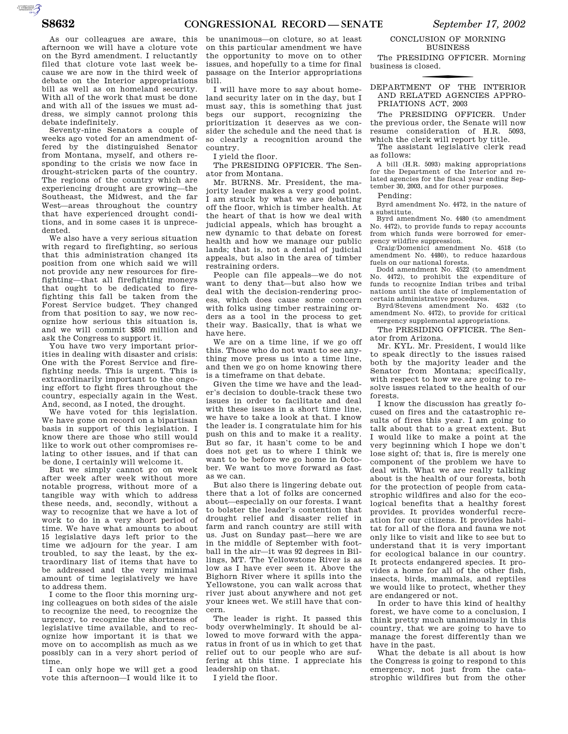AUTOROTOMICALE

As our colleagues are aware, this afternoon we will have a cloture vote on the Byrd amendment. I reluctantly filed that cloture vote last week because we are now in the third week of debate on the Interior appropriations bill as well as on homeland security. With all of the work that must be done and with all of the issues we must address, we simply cannot prolong this debate indefinitely.

Seventy-nine Senators a couple of weeks ago voted for an amendment offered by the distinguished Senator from Montana, myself, and others responding to the crisis we now face in drought-stricken parts of the country. The regions of the country which are experiencing drought are growing—the Southeast, the Midwest, and the far West—areas throughout the country that have experienced drought conditions, and in some cases it is unprecedented.

We also have a very serious situation with regard to firefighting, so serious that this administration changed its position from one which said we will not provide any new resources for firefighting—that all firefighting moneys that ought to be dedicated to firefighting this fall be taken from the Forest Service budget. They changed from that position to say, we now recognize how serious this situation is, and we will commit \$850 million and ask the Congress to support it.

You have two very important priorities in dealing with disaster and crisis: One with the Forest Service and firefighting needs. This is urgent. This is extraordinarily important to the ongoing effort to fight fires throughout the country, especially again in the West. And, second, as I noted, the drought.

We have voted for this legislation. We have gone on record on a bipartisan basis in support of this legislation. I know there are those who still would like to work out other compromises relating to other issues, and if that can be done, I certainly will welcome it.

But we simply cannot go on week after week after week without more notable progress, without more of a tangible way with which to address these needs, and, secondly, without a way to recognize that we have a lot of work to do in a very short period of time. We have what amounts to about 15 legislative days left prior to the time we adjourn for the year. I am troubled, to say the least, by the extraordinary list of items that have to be addressed and the very minimal amount of time legislatively we have to address them.

I come to the floor this morning urging colleagues on both sides of the aisle to recognize the need, to recognize the urgency, to recognize the shortness of legislative time available, and to recognize how important it is that we move on to accomplish as much as we possibly can in a very short period of time.

I can only hope we will get a good vote this afternoon—I would like it to

be unanimous—on cloture, so at least on this particular amendment we have the opportunity to move on to other issues, and hopefully to a time for final passage on the Interior appropriations bill.

I will have more to say about homeland security later on in the day, but I must say, this is something that just begs our support, recognizing the prioritization it deserves as we consider the schedule and the need that is so clearly a recognition around the country.

I yield the floor.

The PRESIDING OFFICER. The Senator from Montana.

Mr. BURNS. Mr. President, the majority leader makes a very good point. I am struck by what we are debating off the floor, which is timber health. At the heart of that is how we deal with judicial appeals, which has brought a new dynamic to that debate on forest health and how we manage our public lands; that is, not a denial of judicial appeals, but also in the area of timber restraining orders.

People can file appeals—we do not want to deny that—but also how we deal with the decision-rendering process, which does cause some concern with folks using timber restraining orders as a tool in the process to get their way. Basically, that is what we have here.

We are on a time line, if we go off this. Those who do not want to see anything move press us into a time line, and then we go on home knowing there is a timeframe on that debate.

Given the time we have and the leader's decision to double-track these two issues in order to facilitate and deal with these issues in a short time line, we have to take a look at that. I know the leader is. I congratulate him for his push on this and to make it a reality. But so far, it hasn't come to be and does not get us to where I think we want to be before we go home in October. We want to move forward as fast as we can.

But also there is lingering debate out there that a lot of folks are concerned about—especially on our forests. I want to bolster the leader's contention that drought relief and disaster relief in farm and ranch country are still with us. Just on Sunday past—here we are in the middle of September with football in the air—it was 92 degrees in Billings, MT. The Yellowstone River is as low as I have ever seen it. Above the Bighorn River where it spills into the Yellowstone, you can walk across that river just about anywhere and not get your knees wet. We still have that concern.

The leader is right. It passed this body overwhelmingly. It should be allowed to move forward with the apparatus in front of us in which to get that relief out to our people who are suffering at this time. I appreciate his leadership on that.

I yield the floor.

## CONCLUSION OF MORNING BUSINESS

The PRESIDING OFFICER. Morning business is closed.

f DEPARTMENT OF THE INTERIOR AND RELATED AGENCIES APPRO-PRIATIONS ACT, 2003

The PRESIDING OFFICER. Under the previous order, the Senate will now resume consideration of H.R. 5093, which the clerk will report by title.

The assistant legislative clerk read as follows:

A bill (H.R. 5093) making appropriations for the Department of the Interior and related agencies for the fiscal year ending September 30, 2003, and for other purposes.

Pending:

Byrd amendment No. 4472, in the nature of a substitute.

Byrd amendment No. 4480 (to amendment No. 4472), to provide funds to repay accounts from which funds were borrowed for emergency wildfire suppression.

Craig/Domenici amendment No. 4518 (to amendment No. 4480), to reduce hazardous fuels on our national forests.

Dodd amendment No. 4522 (to amendment No. 4472), to prohibit the expenditure of funds to recognize Indian tribes and tribal nations until the date of implementation of certain administrative procedures. Byrd/Stevens amendment No. 4532 (to

amendment No. 4472), to provide for critical emergency supplemental appropriations.

The PRESIDING OFFICER. The Senator from Arizona.

Mr. KYL. Mr. President, I would like to speak directly to the issues raised both by the majority leader and the Senator from Montana; specifically, with respect to how we are going to resolve issues related to the health of our forests.

I know the discussion has greatly focused on fires and the catastrophic results of fires this year. I am going to talk about that to a great extent. But I would like to make a point at the very beginning which I hope we don't lose sight of; that is, fire is merely one component of the problem we have to deal with. What we are really talking about is the health of our forests, both for the protection of people from catastrophic wildfires and also for the ecological benefits that a healthy forest provides. It provides wonderful recreation for our citizens. It provides habitat for all of the flora and fauna we not only like to visit and like to see but to understand that it is very important for ecological balance in our country. It protects endangered species. It provides a home for all of the other fish, insects, birds, mammals, and reptiles we would like to protect, whether they are endangered or not.

In order to have this kind of healthy forest, we have come to a conclusion, I think pretty much unanimously in this country, that we are going to have to manage the forest differently than we have in the past.

What the debate is all about is how the Congress is going to respond to this emergency, not just from the catastrophic wildfires but from the other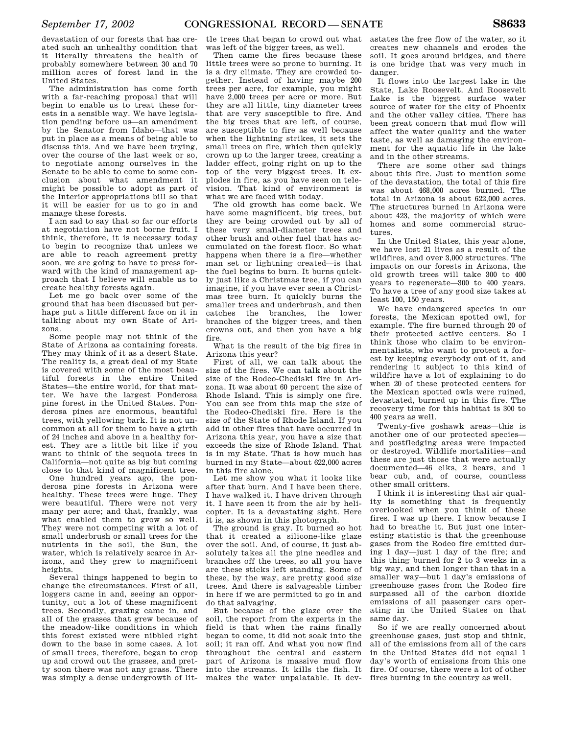devastation of our forests that has created such an unhealthy condition that it literally threatens the health of probably somewhere between 30 and 70 million acres of forest land in the United States.

The administration has come forth with a far-reaching proposal that will begin to enable us to treat these forests in a sensible way. We have legislation pending before us—an amendment by the Senator from Idaho—that was put in place as a means of being able to discuss this. And we have been trying, over the course of the last week or so, to negotiate among ourselves in the Senate to be able to come to some conclusion about what amendment it might be possible to adopt as part of the Interior appropriations bill so that it will be easier for us to go in and manage these forests.

I am sad to say that so far our efforts at negotiation have not borne fruit. I think, therefore, it is necessary today to begin to recognize that unless we are able to reach agreement pretty soon, we are going to have to press forward with the kind of management approach that I believe will enable us to create healthy forests again.

Let me go back over some of the ground that has been discussed but perhaps put a little different face on it in talking about my own State of Arizona.

Some people may not think of the State of Arizona as containing forests. They may think of it as a desert State. The reality is, a great deal of my State is covered with some of the most beautiful forests in the entire United States—the entire world, for that matter. We have the largest Ponderosa pine forest in the United States. Ponderosa pines are enormous, beautiful trees, with yellowing bark. It is not uncommon at all for them to have a girth of 24 inches and above in a healthy forest. They are a little bit like if you want to think of the sequoia trees in California—not quite as big but coming close to that kind of magnificent tree.

One hundred years ago, the ponderosa pine forests in Arizona were healthy. These trees were huge. They were beautiful. There were not very many per acre; and that, frankly, was what enabled them to grow so well. They were not competing with a lot of small underbrush or small trees for the nutrients in the soil, the Sun, the water, which is relatively scarce in Arizona, and they grew to magnificent heights.

Several things happened to begin to change the circumstances. First of all, loggers came in and, seeing an opportunity, cut a lot of these magnificent trees. Secondly, grazing came in, and all of the grasses that grew because of the meadow-like conditions in which this forest existed were nibbled right down to the base in some cases. A lot of small trees, therefore, began to crop up and crowd out the grasses, and pretty soon there was not any grass. There was simply a dense undergrowth of lit-

tle trees that began to crowd out what was left of the bigger trees, as well.

Then came the fires because these little trees were so prone to burning. It is a dry climate. They are crowded together. Instead of having maybe 200 trees per acre, for example, you might have 2,000 trees per acre or more. But they are all little, tiny diameter trees that are very susceptible to fire. And the big trees that are left, of course, are susceptible to fire as well because when the lightning strikes, it sets the small trees on fire, which then quickly crown up to the larger trees, creating a ladder effect, going right on up to the top of the very biggest trees. It explodes in fire, as you have seen on television. That kind of environment is what we are faced with today.

The old growth has come back. We have some magnificent, big trees, but they are being crowded out by all of these very small-diameter trees and other brush and other fuel that has accumulated on the forest floor. So what happens when there is a fire—whether man set or lightning created—is that the fuel begins to burn. It burns quickly just like a Christmas tree, if you can imagine, if you have ever seen a Christmas tree burn. It quickly burns the smaller trees and underbrush, and then catches the branches, the lower branches of the bigger trees, and then crowns out, and then you have a big fire.

What is the result of the big fires in Arizona this year?

First of all, we can talk about the size of the fires. We can talk about the size of the Rodeo-Chediski fire in Arizona. It was about 60 percent the size of Rhode Island. This is simply one fire. You can see from this map the size of the Rodeo-Chediski fire. Here is the size of the State of Rhode Island. If you add in other fires that have occurred in Arizona this year, you have a size that exceeds the size of Rhode Island. That is in my State. That is how much has burned in my State—about 622,000 acres in this fire alone.

Let me show you what it looks like after that burn. And I have been there. I have walked it. I have driven through it. I have seen it from the air by helicopter. It is a devastating sight. Here it is, as shown in this photograph.

The ground is gray. It burned so hot that it created a silicone-like glaze over the soil. And, of course, it just absolutely takes all the pine needles and branches off the trees, so all you have are these sticks left standing. Some of these, by the way, are pretty good size trees. And there is salvageable timber in here if we are permitted to go in and do that salvaging.

But because of the glaze over the soil, the report from the experts in the field is that when the rains finally began to come, it did not soak into the soil; it ran off. And what you now find throughout the central and eastern part of Arizona is massive mud flow into the streams. It kills the fish. It makes the water unpalatable. It dev-

astates the free flow of the water, so it creates new channels and erodes the soil. It goes around bridges, and there is one bridge that was very much in danger.

It flows into the largest lake in the State, Lake Roosevelt. And Roosevelt Lake is the biggest surface water source of water for the city of Phoenix and the other valley cities. There has been great concern that mud flow will affect the water quality and the water taste, as well as damaging the environment for the aquatic life in the lake and in the other streams.

There are some other sad things about this fire. Just to mention some of the devastation, the total of this fire was about 468,000 acres burned. The total in Arizona is about 622,000 acres. The structures burned in Arizona were about 423, the majority of which were homes and some commercial structures.

In the United States, this year alone, we have lost 21 lives as a result of the wildfires, and over 3,000 structures. The impacts on our forests in Arizona, the old growth trees will take 300 to 400 years to regenerate—300 to 400 years. To have a tree of any good size takes at least 100, 150 years.

We have endangered species in our forests, the Mexican spotted owl, for example. The fire burned through 20 of their protected active centers. So I think those who claim to be environmentalists, who want to protect a forest by keeping everybody out of it, and rendering it subject to this kind of wildfire have a lot of explaining to do when 20 of these protected centers for the Mexican spotted owls were ruined, devastated, burned up in this fire. The recovery time for this habitat is 300 to 400 years as well.

Twenty-five goshawk areas—this is another one of our protected species and postfledging areas were impacted or destroyed. Wildlife mortalities—and these are just those that were actually documented—46 elks, 2 bears, and 1 bear cub, and, of course, countless other small critters.

I think it is interesting that air quality is something that is frequently overlooked when you think of these fires. I was up there. I know because I had to breathe it. But just one interesting statistic is that the greenhouse gases from the Rodeo fire emitted during 1 day—just 1 day of the fire; and this thing burned for 2 to 3 weeks in a big way, and then longer than that in a smaller way—but 1 day's emissions of greenhouse gases from the Rodeo fire surpassed all of the carbon dioxide emissions of all passenger cars operating in the United States on that same day.

So if we are really concerned about greenhouse gases, just stop and think, all of the emissions from all of the cars in the United States did not equal 1 day's worth of emissions from this one fire. Of course, there were a lot of other fires burning in the country as well.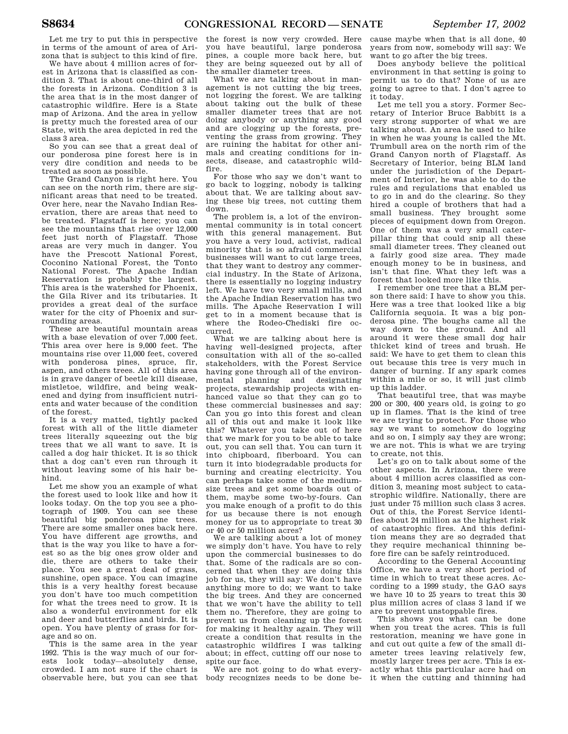Let me try to put this in perspective in terms of the amount of area of Arizona that is subject to this kind of fire.

We have about 4 million acres of forest in Arizona that is classified as condition 3. That is about one-third of all the forests in Arizona. Condition 3 is the area that is in the most danger of catastrophic wildfire. Here is a State map of Arizona. And the area in yellow is pretty much the forested area of our State, with the area depicted in red the class 3 area.

So you can see that a great deal of our ponderosa pine forest here is in very dire condition and needs to be treated as soon as possible.

The Grand Canyon is right here. You can see on the north rim, there are significant areas that need to be treated. Over here, near the Navaho Indian Reservation, there are areas that need to be treated. Flagstaff is here; you can see the mountains that rise over 12,000 feet just north of Flagstaff. Those areas are very much in danger. You have the Prescott National Forest, Coconino National Forest, the Tonto National Forest. The Apache Indian Reservation is probably the largest. This area is the watershed for Phoenix, the Gila River and its tributaries. It provides a great deal of the surface water for the city of Phoenix and surrounding areas.

These are beautiful mountain areas with a base elevation of over 7,000 feet. This area over here is 9,000 feet. The mountains rise over 11,000 feet, covered with ponderosa pines, spruce, fir, aspen, and others trees. All of this area is in grave danger of beetle kill disease, mistletoe, wildfire, and being weakened and dying from insufficient nutrients and water because of the condition of the forest.

It is a very matted, tightly packed forest with all of the little diameter trees literally squeezing out the big trees that we all want to save. It is called a dog hair thicket. It is so thick that a dog can't even run through it without leaving some of his hair behind.

Let me show you an example of what the forest used to look like and how it looks today. On the top you see a photograph of 1909. You can see these beautiful big ponderosa pine trees. There are some smaller ones back here. You have different age growths, and that is the way you like to have a forest so as the big ones grow older and die, there are others to take their place. You see a great deal of grass, sunshine, open space. You can imagine this is a very healthy forest because you don't have too much competition for what the trees need to grow. It is also a wonderful environment for elk and deer and butterflies and birds. It is open. You have plenty of grass for forage and so on.

This is the same area in the year 1992. This is the way much of our forests look today—absolutely dense, crowded. I am not sure if the chart is observable here, but you can see that the forest is now very crowded. Here you have beautiful, large ponderosa pines, a couple more back here, but they are being squeezed out by all of the smaller diameter trees.

What we are talking about in management is not cutting the big trees, not logging the forest. We are talking about taking out the bulk of these smaller diameter trees that are not doing anybody or anything any good and are clogging up the forests, preventing the grass from growing. They are ruining the habitat for other animals and creating conditions for insects, disease, and catastrophic wildfire.

For those who say we don't want to go back to logging, nobody is talking about that. We are talking about saving these big trees, not cutting them down.

The problem is, a lot of the environmental community is in total concert with this general management. But you have a very loud, activist, radical minority that is so afraid commercial businesses will want to cut large trees, that they want to destroy any commercial industry. In the State of Arizona, there is essentially no logging industry left. We have two very small mills, and the Apache Indian Reservation has two mills. The Apache Reservation I will get to in a moment because that is where the Rodeo-Chediski fire occurred.

What we are talking about here is having well-designed projects, after consultation with all of the so-called stakeholders, with the Forest Service having gone through all of the environmental planning and designating projects, stewardship projects with enhanced value so that they can go to these commercial businesses and say: Can you go into this forest and clean all of this out and make it look like this? Whatever you take out of here that we mark for you to be able to take out, you can sell that. You can turn it into chipboard, fiberboard. You can turn it into biodegradable products for burning and creating electricity. You can perhaps take some of the mediumsize trees and get some boards out of them, maybe some two-by-fours. Can you make enough of a profit to do this for us because there is not enough money for us to appropriate to treat 30 or 40 or 50 million acres?

We are talking about a lot of money we simply don't have. You have to rely upon the commercial businesses to do that. Some of the radicals are so concerned that when they are doing this job for us, they will say: We don't have anything more to do; we want to take the big trees. And they are concerned that we won't have the ability to tell them no. Therefore, they are going to prevent us from cleaning up the forest for making it healthy again. They will create a condition that results in the catastrophic wildfires I was talking about; in effect, cutting off our nose to spite our face.

We are not going to do what everybody recognizes needs to be done be-

cause maybe when that is all done, 40 years from now, somebody will say: We want to go after the big trees.

Does anybody believe the political environment in that setting is going to permit us to do that? None of us are going to agree to that. I don't agree to it today.

Let me tell you a story. Former Secretary of Interior Bruce Babbitt is a very strong supporter of what we are talking about. An area he used to hike in when he was young is called the Mt. Trumbull area on the north rim of the Grand Canyon north of Flagstaff. As Secretary of Interior, being BLM land under the jurisdiction of the Department of Interior, he was able to do the rules and regulations that enabled us to go in and do the clearing. So they hired a couple of brothers that had a small business. They brought some pieces of equipment down from Oregon. One of them was a very small caterpillar thing that could snip all these small diameter trees. They cleaned out a fairly good size area. They made enough money to be in business, and isn't that fine. What they left was a forest that looked more like this.

I remember one tree that a BLM person there said: I have to show you this. Here was a tree that looked like a big California sequoia. It was a big ponderosa pine. The boughs came all the way down to the ground. And all around it were these small dog hair thicket kind of trees and brush. He said: We have to get them to clean this out because this tree is very much in danger of burning. If any spark comes within a mile or so, it will just climb up this ladder.

That beautiful tree, that was maybe 200 or 300, 400 years old, is going to go up in flames. That is the kind of tree we are trying to protect. For those who say we want to somehow do logging and so on, I simply say they are wrong; we are not. This is what we are trying to create, not this.

Let's go on to talk about some of the other aspects. In Arizona, there were about 4 million acres classified as condition 3, meaning most subject to catastrophic wildfire. Nationally, there are just under 75 million such class 3 acres. Out of this, the Forest Service identifies about 24 million as the highest risk of catastrophic fires. And this definition means they are so degraded that they require mechanical thinning before fire can be safely reintroduced.

According to the General Accounting Office, we have a very short period of time in which to treat these acres. According to a 1999 study, the GAO says we have 10 to 25 years to treat this 30 plus million acres of class 3 land if we are to prevent unstoppable fires.

This shows you what can be done when you treat the acres. This is full restoration, meaning we have gone in and cut out quite a few of the small diameter trees leaving relatively few, mostly larger trees per acre. This is exactly what this particular acre had on it when the cutting and thinning had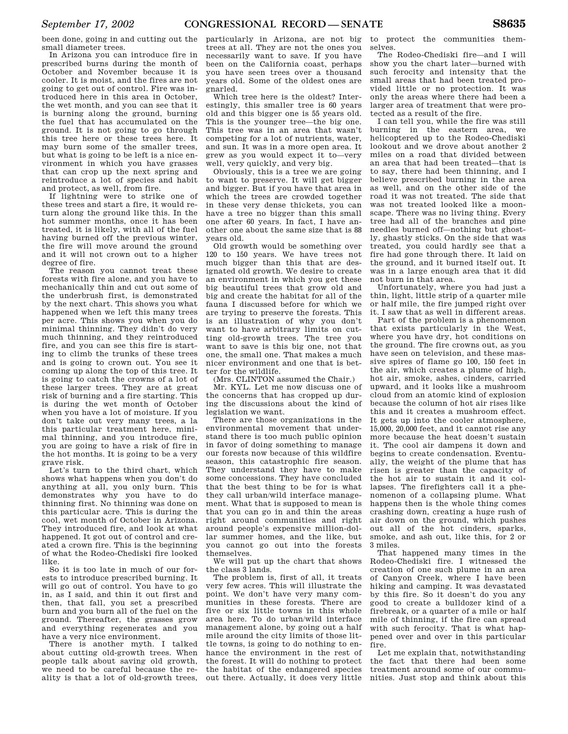been done, going in and cutting out the small diameter trees.

In Arizona you can introduce fire in prescribed burns during the month of October and November because it is cooler. It is moist, and the fires are not going to get out of control. Fire was introduced here in this area in October, the wet month, and you can see that it is burning along the ground, burning the fuel that has accumulated on the ground. It is not going to go through this tree here or these trees here. It may burn some of the smaller trees, but what is going to be left is a nice environment in which you have grasses that can crop up the next spring and reintroduce a lot of species and habit and protect, as well, from fire.

If lightning were to strike one of these trees and start a fire, it would return along the ground like this. In the hot summer months, once it has been treated, it is likely, with all of the fuel having burned off the previous winter, the fire will move around the ground and it will not crown out to a higher degree of fire.

The reason you cannot treat these forests with fire alone, and you have to mechanically thin and cut out some of the underbrush first, is demonstrated by the next chart. This shows you what happened when we left this many trees per acre. This shows you when you do minimal thinning. They didn't do very much thinning, and they reintroduced fire, and you can see this fire is starting to climb the trunks of these trees and is going to crown out. You see it coming up along the top of this tree. It is going to catch the crowns of a lot of these larger trees. They are at great risk of burning and a fire starting. This is during the wet month of October when you have a lot of moisture. If you don't take out very many trees, a la this particular treatment here, minimal thinning, and you introduce fire, you are going to have a risk of fire in the hot months. It is going to be a very grave risk.

Let's turn to the third chart, which shows what happens when you don't do anything at all, you only burn. This demonstrates why you have to do thinning first. No thinning was done on this particular acre. This is during the cool, wet month of October in Arizona. They introduced fire, and look at what happened. It got out of control and created a crown fire. This is the beginning of what the Rodeo-Chediski fire looked like.

So it is too late in much of our forests to introduce prescribed burning. It will go out of control. You have to go in, as I said, and thin it out first and then, that fall, you set a prescribed burn and you burn all of the fuel on the ground. Thereafter, the grasses grow and everything regenerates and you have a very nice environment.

There is another myth. I talked about cutting old-growth trees. When people talk about saving old growth, we need to be careful because the reality is that a lot of old-growth trees,

particularly in Arizona, are not big trees at all. They are not the ones you necessarily want to save. If you have been on the California coast, perhaps you have seen trees over a thousand years old. Some of the oldest ones are gnarled.

Which tree here is the oldest? Interestingly, this smaller tree is 60 years old and this bigger one is 55 years old. This is the younger tree—the big one. This tree was in an area that wasn't competing for a lot of nutrients, water, and sun. It was in a more open area. It grew as you would expect it to—very well, very quickly, and very big.

Obviously, this is a tree we are going to want to preserve. It will get bigger and bigger. But if you have that area in which the trees are crowded together in these very dense thickets, you can have a tree no bigger than this small one after 60 years. In fact, I have another one about the same size that is 88 years old.

Old growth would be something over 120 to 150 years. We have trees not much bigger than this that are designated old growth. We desire to create an environment in which you get these big beautiful trees that grow old and big and create the habitat for all of the fauna I discussed before for which we are trying to preserve the forests. This is an illustration of why you don't want to have arbitrary limits on cutting old-growth trees. The tree you want to save is this big one, not that one, the small one. That makes a much nicer environment and one that is better for the wildlife.

(Mrs. CLINTON assumed the Chair.)

Mr. KYL. Let me now discuss one of the concerns that has cropped up during the discussions about the kind of legislation we want.

There are those organizations in the environmental movement that understand there is too much public opinion in favor of doing something to manage our forests now because of this wildfire season, this catastrophic fire season. They understand they have to make some concessions. They have concluded that the best thing to be for is what they call urban/wild interface management. What that is supposed to mean is that you can go in and thin the areas right around communities and right around people's expensive million-dollar summer homes, and the like, but you cannot go out into the forests themselves.

We will put up the chart that shows the class 3 lands.

The problem is, first of all, it treats very few acres. This will illustrate the point. We don't have very many communities in these forests. There are five or six little towns in this whole area here. To do urban/wild interface management alone, by going out a half mile around the city limits of those little towns, is going to do nothing to enhance the environment in the rest of the forest. It will do nothing to protect the habitat of the endangered species out there. Actually, it does very little

to protect the communities themselves.

The Rodeo-Chediski fire—and I will show you the chart later—burned with such ferocity and intensity that the small areas that had been treated provided little or no protection. It was only the areas where there had been a larger area of treatment that were protected as a result of the fire.

I can tell you, while the fire was still burning in the eastern area, we helicoptered up to the Rodeo-Chediski lookout and we drove about another 2 miles on a road that divided between an area that had been treated—that is to say, there had been thinning, and I believe prescribed burning in the area as well, and on the other side of the road it was not treated. The side that was not treated looked like a moonscape. There was no living thing. Every tree had all of the branches and pine needles burned off—nothing but ghostly, ghastly sticks. On the side that was treated, you could hardly see that a fire had gone through there. It laid on the ground, and it burned itself out. It was in a large enough area that it did not burn in that area.

Unfortunately, where you had just a thin, light, little strip of a quarter mile or half mile, the fire jumped right over it. I saw that as well in different areas.

Part of the problem is a phenomenon that exists particularly in the West, where you have dry, hot conditions on the ground. The fire crowns out, as you have seen on television, and these massive spires of flame go 100, 150 feet in the air, which creates a plume of high, hot air, smoke, ashes, cinders, carried upward, and it looks like a mushroom cloud from an atomic kind of explosion because the column of hot air rises like this and it creates a mushroom effect. It gets up into the cooler atmosphere, 15,000, 20,000 feet, and it cannot rise any more because the heat doesn't sustain it. The cool air dampens it down and begins to create condensation. Eventually, the weight of the plume that has risen is greater than the capacity of the hot air to sustain it and it collapses. The firefighters call it a phenomenon of a collapsing plume. What happens then is the whole thing comes crashing down, creating a huge rush of air down on the ground, which pushes out all of the hot cinders, sparks, smoke, and ash out, like this, for 2 or 3 miles.

That happened many times in the Rodeo-Chediski fire. I witnessed the creation of one such plume in an area of Canyon Creek, where I have been hiking and camping. It was devastated by this fire. So it doesn't do you any good to create a bulldozer kind of a firebreak, or a quarter of a mile or half mile of thinning, if the fire can spread with such ferocity. That is what happened over and over in this particular fire.

Let me explain that, notwithstanding the fact that there had been some treatment around some of our communities. Just stop and think about this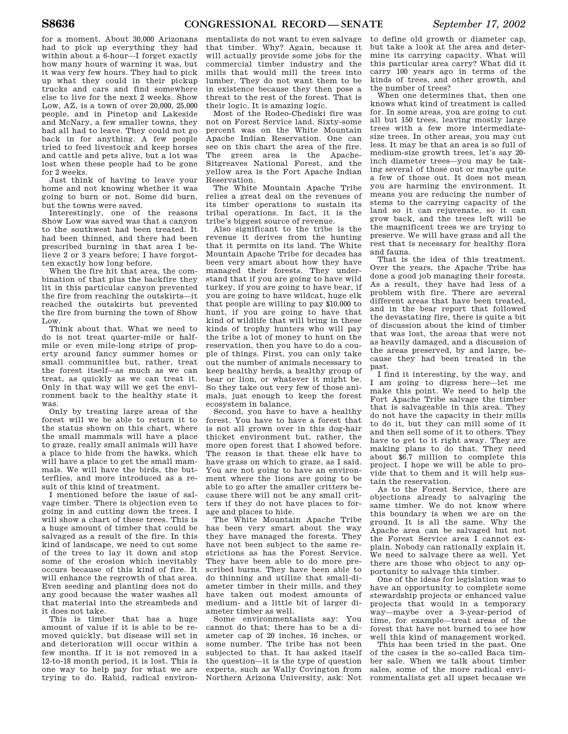for a moment. About 30,000 Arizonans had to pick up everything they had within about a 6-hour—I forget exactly how many hours of warning it was, but it was very few hours. They had to pick up what they could in their pickup trucks and cars and find somewhere else to live for the next 2 weeks. Show Low, AZ, is a town of over 20,000, 25,000 people, and in Pinetop and Lakeside and McNary, a few smaller towns, they had all had to leave. They could not go back in for anything. A few people tried to feed livestock and keep horses and cattle and pets alive, but a lot was lost when these people had to be gone for 2 weeks.

Just think of having to leave your home and not knowing whether it was going to burn or not. Some did burn, but the towns were saved.

Interestingly, one of the reasons Show Low was saved was that a canyon to the southwest had been treated. It had been thinned, and there had been prescribed burning in that area I believe 2 or 3 years before; I have forgotten exactly how long before.

When the fire hit that area, the combination of that plus the backfire they lit in this particular canyon prevented the fire from reaching the outskirts—it reached the outskirts but prevented the fire from burning the town of Show Low.

Think about that. What we need to do is not treat quarter-mile or halfmile or even mile-long strips of property around fancy summer homes or small communities but, rather, treat the forest itself—as much as we can treat, as quickly as we can treat it. Only in that way will we get the environment back to the healthy state it was.

Only by treating large areas of the forest will we be able to return it to the status shown on this chart, where the small mammals will have a place to graze, really small animals will have a place to hide from the hawks, which will have a place to get the small mammals. We will have the birds, the butterflies, and more introduced as a result of this kind of treatment.

I mentioned before the issue of salvage timber. There is objection even to going in and cutting down the trees. I will show a chart of these trees. This is a huge amount of timber that could be salvaged as a result of the fire. In this kind of landscape, we need to cut some of the trees to lay it down and stop some of the erosion which inevitably occurs because of this kind of fire. It will enhance the regrowth of that area. Even seeding and planting does not do any good because the water washes all that material into the streambeds and it does not take.

This is timber that has a huge amount of value if it is able to be removed quickly, but disease will set in and deterioration will occur within a few months. If it is not removed in a 12-to-18 month period, it is lost. This is one way to help pay for what we are trying to do. Rabid, radical environ-

mentalists do not want to even salvage that timber. Why? Again, because it will actually provide some jobs for the commercial timber industry and the mills that would mill the trees into lumber. They do not want them to be in existence because they then pose a threat to the rest of the forest. That is their logic. It is amazing logic.

Most of the Rodeo-Chediski fire was not on Forest Service land. Sixty-some percent was on the White Mountain Apache Indian Reservation. One can see on this chart the area of the fire. The green area is the Apache-Sitgreaves National Forest, and the yellow area is the Fort Apache Indian Reservation.

The White Mountain Apache Tribe relies a great deal on the revenues of its timber operations to sustain its tribal operations. In fact, it is the tribe's biggest source of revenue.

Also significant to the tribe is the revenue it derives from the hunting that it permits on its land. The White Mountain Apache Tribe for decades has been very smart about how they have managed their forests. They understand that if you are going to have wild turkey, if you are going to have bear, if you are going to have wildcat, huge elk that people are willing to pay \$10,000 to hunt, if you are going to have that kind of wildlife that will bring in these kinds of trophy hunters who will pay the tribe a lot of money to hunt on the reservation, then you have to do a couple of things. First, you can only take out the number of animals necessary to keep healthy herds, a healthy group of bear or lion, or whatever it might be. So they take out very few of those animals, just enough to keep the forest ecosystem in balance.

Second, you have to have a healthy forest. You have to have a forest that is not all grown over in this dog-hair thicket environment but, rather, the more open forest that I showed before. The reason is that these elk have to have grass on which to graze, as I said. You are not going to have an environment where the lions are going to be able to go after the smaller critters because there will not be any small critters if they do not have places to forage and places to hide.

The White Mountain Apache Tribe has been very smart about the way they have managed the forests. They have not been subject to the same restrictions as has the Forest Service. They have been able to do more prescribed burns. They have been able to do thinning and utilize that small-diameter timber in their mills, and they have taken out modest amounts of medium- and a little bit of larger diameter timber as well.

Some environmentalists say: You cannot do that; there has to be a diameter cap of 20 inches, 16 inches, or some number. The tribe has not been subjected to that. It has asked itself the question—it is the type of question experts, such as Wally Covington from Northern Arizona University, ask: Not

to define old growth or diameter cap, but take a look at the area and determine its carrying capacity. What will this particular area carry? What did it carry 100 years ago in terms of the kinds of trees, and other growth, and the number of trees?

When one determines that, then one knows what kind of treatment is called for. In some areas, you are going to cut all but 150 trees, leaving mostly large trees with a few more intermediatesize trees. In other areas, you may cut less. It may be that an area is so full of medium-size growth trees, let's say 20 inch diameter trees—you may be taking several of those out or maybe quite a few of those out. It does not mean you are harming the environment. It means you are reducing the number of stems to the carrying capacity of the land so it can rejuvenate, so it can grow back, and the trees left will be the magnificent trees we are trying to preserve. We will have grass and all the rest that is necessary for healthy flora and fauna.

That is the idea of this treatment. Over the years, the Apache Tribe has done a good job managing their forests. As a result, they have had less of a problem with fire. There are several different areas that have been treated, and in the bear report that followed the devastating fire, there is quite a bit of discussion about the kind of timber that was lost, the areas that were not as heavily damaged, and a discussion of the areas preserved, by and large, because they had been treated in the past.

I find it interesting, by the way, and I am going to digress here—let me make this point. We need to help the Fort Apache Tribe salvage the timber that is salvageable in this area. They do not have the capacity in their mills to do it, but they can mill some of it and then sell some of it to others. They have to get to it right away. They are making plans to do that. They need about \$6.7 million to complete this project. I hope we will be able to provide that to them and it will help sustain the reservation.

As to the Forest Service, there are objections already to salvaging the same timber. We do not know where this boundary is when we are on the ground. It is all the same. Why the Apache area can be salvaged but not the Forest Service area I cannot explain. Nobody can rationally explain it. We need to salvage there as well. Yet there are those who object to any opportunity to salvage this timber.

One of the ideas for legislation was to have an opportunity to complete some stewardship projects or enhanced value projects that would in a temporary way—maybe over a 3-year-period of time, for example—treat areas of the forest that have not burned to see how well this kind of management worked.

This has been tried in the past. One of the cases is the so-called Baca timber sale. When we talk about timber sales, some of the more radical environmentalists get all upset because we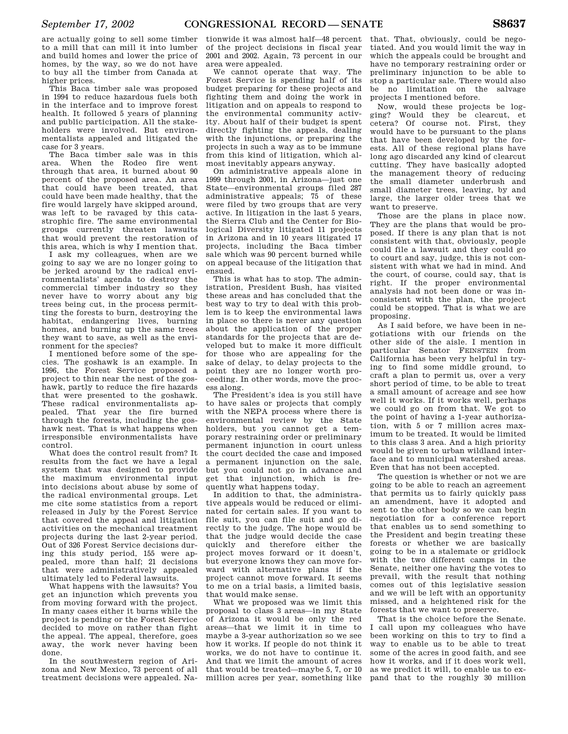are actually going to sell some timber to a mill that can mill it into lumber and build homes and lower the price of homes, by the way, so we do not have to buy all the timber from Canada at higher prices.

This Baca timber sale was proposed in 1994 to reduce hazardous fuels both in the interface and to improve forest health. It followed 5 years of planning and public participation. All the stakeholders were involved. But environmentalists appealed and litigated the case for 3 years.

The Baca timber sale was in this area. When the Rodeo fire went through that area, it burned about 90 percent of the proposed area. An area that could have been treated, that could have been made healthy, that the fire would largely have skipped around, was left to be ravaged by this catastrophic fire. The same environmental groups currently threaten lawsuits that would prevent the restoration of this area, which is why I mention that.

I ask my colleagues, when are we going to say we are no longer going to be jerked around by the radical environmentalists' agenda to destroy the commercial timber industry so they never have to worry about any big trees being cut, in the process permitting the forests to burn, destroying the habitat, endangering lives, burning homes, and burning up the same trees they want to save, as well as the environment for the species?

I mentioned before some of the species. The goshawk is an example. In 1996, the Forest Service proposed a project to thin near the nest of the goshawk, partly to reduce the fire hazards that were presented to the goshawk. These radical environmentalists appealed. That year the fire burned through the forests, including the goshawk nest. That is what happens when irresponsible environmentalists have control.

What does the control result from? It results from the fact we have a legal system that was designed to provide the maximum environmental input into decisions about abuse by some of the radical environmental groups. Let me cite some statistics from a report released in July by the Forest Service that covered the appeal and litigation activities on the mechanical treatment projects during the last 2-year period. Out of 326 Forest Service decisions during this study period, 155 were appealed, more than half; 21 decisions that were administratively appealed ultimately led to Federal lawsuits.

What happens with the lawsuits? You get an injunction which prevents you from moving forward with the project. In many cases either it burns while the project is pending or the Forest Service decided to move on rather than fight the appeal. The appeal, therefore, goes away, the work never having been done.

In the southwestern region of Arizona and New Mexico, 73 percent of all treatment decisions were appealed. Na-

tionwide it was almost half—48 percent of the project decisions in fiscal year 2001 and 2002. Again, 73 percent in our area were appealed.

We cannot operate that way. The Forest Service is spending half of its budget preparing for these projects and fighting them and doing the work in litigation and on appeals to respond to the environmental community activity. About half of their budget is spent directly fighting the appeals, dealing with the injunctions, or preparing the projects in such a way as to be immune from this kind of litigation, which almost inevitably appears anyway.

On administrative appeals alone in 1999 through 2001, in Arizona—just one State—environmental groups filed 287 administrative appeals; 75 of these were filed by two groups that are very active. In litigation in the last 5 years, the Sierra Club and the Center for Biological Diversity litigated 11 projects in Arizona and in 10 years litigated 17 projects, including the Baca timber sale which was 90 percent burned while on appeal because of the litigation that ensued.

This is what has to stop. The administration, President Bush, has visited these areas and has concluded that the best way to try to deal with this problem is to keep the environmental laws in place so there is never any question about the application of the proper standards for the projects that are developed but to make it more difficult for those who are appealing for the sake of delay, to delay projects to the point they are no longer worth proceeding. In other words, move the process along.

The President's idea is you still have to have sales or projects that comply with the NEPA process where there is environmental review by the State holders, but you cannot get a temporary restraining order or preliminary permanent injunction in court unless the court decided the case and imposed a permanent injunction on the sale, but you could not go in advance and get that injunction, which is frequently what happens today.

In addition to that, the administrative appeals would be reduced or eliminated for certain sales. If you want to file suit, you can file suit and go directly to the judge. The hope would be that the judge would decide the case quickly and therefore either the project moves forward or it doesn't, but everyone knows they can move forward with alternative plans if the project cannot move forward. It seems to me on a trial basis, a limited basis, that would make sense.

What we proposed was we limit this proposal to class 3 areas—in my State of Arizona it would be only the red areas—that we limit it in time to maybe a 3-year authorization so we see how it works. If people do not think it works, we do not have to continue it. And that we limit the amount of acres that would be treated—maybe 5, 7, or 10 million acres per year, something like

that. That, obviously, could be negotiated. And you would limit the way in which the appeals could be brought and have no temporary restraining order or preliminary injunction to be able to stop a particular sale. There would also be no limitation on the salvage projects I mentioned before.

Now, would these projects be logging? Would they be clearcut, et cetera? Of course not. First, they would have to be pursuant to the plans that have been developed by the forests. All of these regional plans have long ago discarded any kind of clearcut cutting. They have basically adopted the management theory of reducing the small diameter underbrush and small diameter trees, leaving, by and large, the larger older trees that we want to preserve.

Those are the plans in place now. They are the plans that would be proposed. If there is any plan that is not consistent with that, obviously, people could file a lawsuit and they could go to court and say, judge, this is not consistent with what we had in mind. And the court, of course, could say, that is right. If the proper environmental analysis had not been done or was inconsistent with the plan, the project could be stopped. That is what we are proposing.

As I said before, we have been in negotiations with our friends on the other side of the aisle. I mention in particular Senator FEINSTEIN from California has been very helpful in trying to find some middle ground, to craft a plan to permit us, over a very short period of time, to be able to treat a small amount of acreage and see how well it works. If it works well, perhaps we could go on from that. We got to the point of having a 1-year authorization, with 5 or 7 million acres maximum to be treated. It would be limited to this class 3 area. And a high priority would be given to urban wildland interface and to municipal watershed areas. Even that has not been accepted.

The question is whether or not we are going to be able to reach an agreement that permits us to fairly quickly pass an amendment, have it adopted and sent to the other body so we can begin negotiation for a conference report that enables us to send something to the President and begin treating these forests or whether we are basically going to be in a stalemate or gridlock with the two different camps in the Senate, neither one having the votes to prevail, with the result that nothing comes out of this legislative session and we will be left with an opportunity missed, and a heightened risk for the forests that we want to preserve.

That is the choice before the Senate. I call upon my colleagues who have been working on this to try to find a way to enable us to be able to treat some of the acres in good faith, and see how it works, and if it does work well, as we predict it will, to enable us to expand that to the roughly 30 million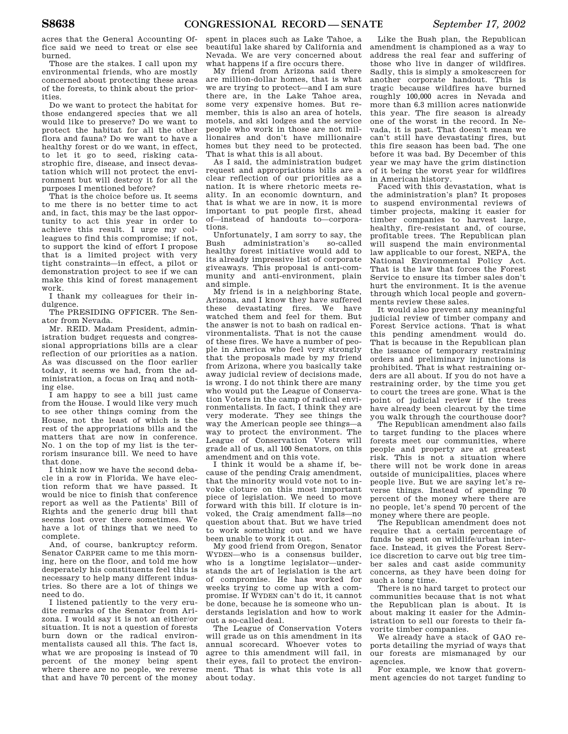acres that the General Accounting Office said we need to treat or else see burned.

Those are the stakes. I call upon my environmental friends, who are mostly concerned about protecting these areas of the forests, to think about the priorities.

Do we want to protect the habitat for those endangered species that we all would like to preserve? Do we want to protect the habitat for all the other flora and fauna? Do we want to have a healthy forest or do we want, in effect, to let it go to seed, risking catastrophic fire, disease, and insect devastation which will not protect the environment but will destroy it for all the purposes I mentioned before?

That is the choice before us. It seems to me there is no better time to act and, in fact, this may be the last opportunity to act this year in order to achieve this result. I urge my colleagues to find this compromise; if not, to support the kind of effort I propose that is a limited project with very tight constraints—in effect, a pilot or demonstration project to see if we can make this kind of forest management work.

I thank my colleagues for their indulgence.

The PRESIDING OFFICER. The Senator from Nevada.

Mr. REID. Madam President, administration budget requests and congressional appropriations bills are a clear reflection of our priorities as a nation. As was discussed on the floor earlier today, it seems we had, from the administration, a focus on Iraq and nothing else.

I am happy to see a bill just came from the House. I would like very much to see other things coming from the House, not the least of which is the rest of the appropriations bills and the matters that are now in conference. No. 1 on the top of my list is the terrorism insurance bill. We need to have that done.

I think now we have the second debacle in a row in Florida. We have election reform that we have passed. It would be nice to finish that conference report as well as the Patients' Bill of Rights and the generic drug bill that seems lost over there sometimes. We have a lot of things that we need to complete.

And, of course, bankruptcy reform. Senator CARPER came to me this morning, here on the floor, and told me how desperately his constituents feel this is necessary to help many different industries. So there are a lot of things we need to do.

I listened patiently to the very erudite remarks of the Senator from Arizona. I would say it is not an either/or situation. It is not a question of forests burn down or the radical environmentalists caused all this. The fact is, what we are proposing is instead of 70 percent of the money being spent where there are no people, we reverse that and have 70 percent of the money spent in places such as Lake Tahoe, a beautiful lake shared by California and Nevada. We are very concerned about what happens if a fire occurs there.

My friend from Arizona said there are million-dollar homes, that is what we are trying to protect—and I am sure there are, in the Lake Tahoe area, some very expensive homes. But remember, this is also an area of hotels, motels, and ski lodges and the service people who work in those are not millionaires and don't have millionaire homes but they need to be protected. That is what this is all about.

As I said, the administration budget request and appropriations bills are a clear reflection of our priorities as a nation. It is where rhetoric meets reality. In an economic downturn, and that is what we are in now, it is more important to put people first, ahead of—instead of handouts to—corporations.

Unfortunately, I am sorry to say, the<br>Bush administration's so-called administration's healthy forest initiative would add to its already impressive list of corporate giveaways. This proposal is anti-community and anti-environment, plain and simple.

My friend is in a neighboring State, Arizona, and I know they have suffered these devastating fires. We have watched them and feel for them. But the answer is not to bash on radical environmentalists. That is not the cause of these fires. We have a number of people in America who feel very strongly that the proposals made by my friend from Arizona, where you basically take away judicial review of decisions made, is wrong. I do not think there are many who would put the League of Conservation Voters in the camp of radical environmentalists. In fact, I think they are very moderate. They see things the way the American people see things—a way to protect the environment. The League of Conservation Voters will grade all of us, all 100 Senators, on this amendment and on this vote.

I think it would be a shame if, because of the pending Craig amendment, that the minority would vote not to invoke cloture on this most important piece of legislation. We need to move forward with this bill. If cloture is invoked, the Craig amendment falls—no question about that. But we have tried to work something out and we have been unable to work it out.

My good friend from Oregon, Senator WYDEN—who is a consensus builder, who is a longtime legislator—understands the art of legislation is the art of compromise. He has worked for weeks trying to come up with a compromise. If WYDEN can't do it, it cannot be done, because he is someone who understands legislation and how to work out a so-called deal.

The League of Conservation Voters will grade us on this amendment in its annual scorecard. Whoever votes to agree to this amendment will fail, in their eyes, fail to protect the environment. That is what this vote is all about today.

Like the Bush plan, the Republican amendment is championed as a way to address the real fear and suffering of those who live in danger of wildfires. Sadly, this is simply a smokescreen for another corporate handout. This is tragic because wildfires have burned roughly 100,000 acres in Nevada and more than 6.3 million acres nationwide this year. The fire season is already one of the worst in the record. In Nevada, it is past. That doesn't mean we can't still have devastating fires, but this fire season has been bad. The one before it was bad. By December of this year we may have the grim distinction of it being the worst year for wildfires in American history.

Faced with this devastation, what is the administration's plan? It proposes to suspend environmental reviews of timber projects, making it easier for timber companies to harvest large, healthy, fire-resistant and, of course, profitable trees. The Republican plan will suspend the main environmental law applicable to our forest, NEPA, the National Environmental Policy Act. That is the law that forces the Forest Service to ensure its timber sales don't hurt the environment. It is the avenue through which local people and governments review these sales.

It would also prevent any meaningful judicial review of timber company and Forest Service actions. That is what this pending amendment would do. That is because in the Republican plan the issuance of temporary restraining orders and preliminary injunctions is prohibited. That is what restraining orders are all about. If you do not have a restraining order, by the time you get to court the trees are gone. What is the point of judicial review if the trees have already been clearcut by the time you walk through the courthouse door?

The Republican amendment also fails to target funding to the places where forests meet our communities, where people and property are at greatest risk. This is not a situation where there will not be work done in areas outside of municipalities, places where people live. But we are saying let's reverse things. Instead of spending 70 percent of the money where there are no people, let's spend 70 percent of the money where there are people.

The Republican amendment does not require that a certain percentage of funds be spent on wildlife/urban interface. Instead, it gives the Forest Service discretion to carve out big tree timber sales and cast aside community concerns, as they have been doing for such a long time.

There is no hard target to protect our communities because that is not what the Republican plan is about. It is about making it easier for the Administration to sell our forests to their favorite timber companies.

We already have a stack of GAO reports detailing the myriad of ways that our forests are mismanaged by our agencies.

For example, we know that government agencies do not target funding to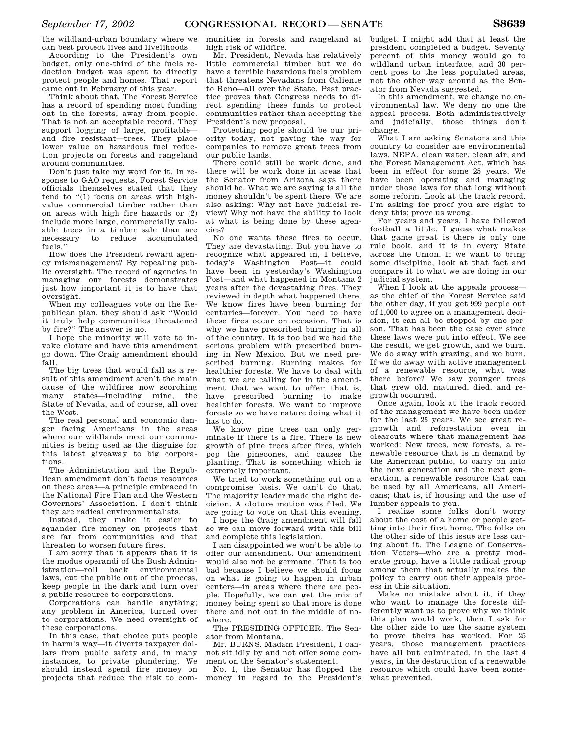the wildland-urban boundary where we can best protect lives and livelihoods.

According to the President's own budget, only one-third of the fuels reduction budget was spent to directly protect people and homes. That report came out in February of this year.

Think about that. The Forest Service has a record of spending most funding out in the forests, away from people. That is not an acceptable record. They support logging of large, profitable and fire resistant—trees. They place lower value on hazardous fuel reduction projects on forests and rangeland around communities.

Don't just take my word for it. In response to GAO requests, Forest Service officials themselves stated that they tend to ''(1) focus on areas with highvalue commercial timber rather than on areas with high fire hazards or (2) include more large, commercially valuable trees in a timber sale than are necessary to reduce accumulated fuels.''

How does the President reward agency mismanagement? By repealing public oversight. The record of agencies in managing our forests demonstrates just how important it is to have that oversight.

When my colleagues vote on the Republican plan, they should ask ''Would it truly help communities threatened by fire?'' The answer is no.

I hope the minority will vote to invoke cloture and have this amendment go down. The Craig amendment should fall.

The big trees that would fall as a result of this amendment aren't the main cause of the wildfires now scorching many states—including mine, the State of Nevada, and of course, all over the West.

The real personal and economic danger facing Americans in the areas where our wildlands meet our communities is being used as the disguise for this latest giveaway to big corporations.

The Administration and the Republican amendment don't focus resources on these areas—a principle embraced in the National Fire Plan and the Western Governors' Association. I don't think they are radical environmentalists.

Instead, they make it easier to squander fire money on projects that are far from communities and that threaten to worsen future fires.

I am sorry that it appears that it is the modus operandi of the Bush Administration—roll back environmental laws, cut the public out of the process, keep people in the dark and turn over a public resource to corporations.

Corporations can handle anything; any problem in America, turned over to corporations. We need oversight of these corporations.

In this case, that choice puts people in harm's way—it diverts taxpayer dollars from public safety and, in many instances, to private plundering. We should instead spend fire money on projects that reduce the risk to com-

munities in forests and rangeland at high risk of wildfire.

Mr. President, Nevada has relatively little commercial timber but we do have a terrible hazardous fuels problem that threatens Nevadans from Caliente to Reno—all over the State. Past practice proves that Congress needs to direct spending these funds to protect communities rather than accepting the President's new proposal.

Protecting people should be our priority today, not paving the way for companies to remove great trees from our public lands.

There could still be work done, and there will be work done in areas that the Senator from Arizona says there should be. What we are saying is all the money shouldn't be spent there. We are also asking: Why not have judicial review? Why not have the ability to look at what is being done by these agencies?

No one wants these fires to occur. They are devastating. But you have to recognize what appeared in, I believe, today's Washington Post—it could have been in yesterday's Washington Post—and what happened in Montana 2 years after the devastating fires. They reviewed in depth what happened there. We know fires have been burning for centuries—forever. You need to have these fires occur on occasion. That is why we have prescribed burning in all of the country. It is too bad we had the serious problem with prescribed burning in New Mexico. But we need prescribed burning. Burning makes for healthier forests. We have to deal with what we are calling for in the amendment that we want to offer; that is, have prescribed burning to make healthier forests. We want to improve forests so we have nature doing what it has to do.

We know pine trees can only germinate if there is a fire. There is new growth of pine trees after fires, which pop the pinecones, and causes the planting. That is something which is extremely important.

We tried to work something out on a compromise basis. We can't do that. The majority leader made the right decision. A cloture motion was filed. We are going to vote on that this evening.

I hope the Craig amendment will fall so we can move forward with this bill and complete this legislation.

I am disappointed we won't be able to offer our amendment. Our amendment would also not be germane. That is too bad because I believe we should focus on what is going to happen in urban centers—in areas where there are people. Hopefully, we can get the mix of money being spent so that more is done there and not out in the middle of nowhere.

The PRESIDING OFFICER. The Senator from Montana.

Mr. BURNS. Madam President, I cannot sit idly by and not offer some comment on the Senator's statement.

No. 1, the Senator has flopped the money in regard to the President's budget. I might add that at least the president completed a budget. Seventy percent of this money would go to wildland urban interface, and 30 percent goes to the less populated areas, not the other way around as the Senator from Nevada suggested.

In this amendment, we change no environmental law. We deny no one the appeal process. Both administratively and judicially, those things don't change.

What I am asking Senators and this country to consider are environmental laws, NEPA, clean water, clean air, and the Forest Management Act, which has been in effect for some 25 years. We have been operating and managing under those laws for that long without some reform. Look at the track record. I'm asking for proof you are right to deny this; prove us wrong.

For years and years, I have followed football a little. I guess what makes that game great is there is only one rule book, and it is in every State across the Union. If we want to bring some discipline, look at that fact and compare it to what we are doing in our judicial system.

When I look at the appeals process as the chief of the Forest Service said the other day, if you get 999 people out of 1,000 to agree on a management decision, it can all be stopped by one person. That has been the case ever since these laws were put into effect. We see the result, we get growth, and we burn. We do away with grazing, and we burn. If we do away with active management of a renewable resource, what was there before? We saw younger trees that grew old, matured, died, and regrowth occurred.

Once again, look at the track record of the management we have been under for the last 25 years. We see great regrowth and reforestation even in clearcuts where that management has worked: New trees, new forests, a renewable resource that is in demand by the American public, to carry on into the next generation and the next generation, a renewable resource that can be used by all Americans, all Americans; that is, if housing and the use of lumber appeals to you.

I realize some folks don't worry about the cost of a home or people getting into their first home. The folks on the other side of this issue are less caring about it. The League of Conservation Voters—who are a pretty moderate group, have a little radical group among them that actually makes the policy to carry out their appeals process in this situation.

Make no mistake about it, if they who want to manage the forests differently want us to prove why we think this plan would work, then I ask for the other side to use the same system to prove theirs has worked. For 25 years, those management practices have all but culminated, in the last 4 years, in the destruction of a renewable resource which could have been somewhat prevented.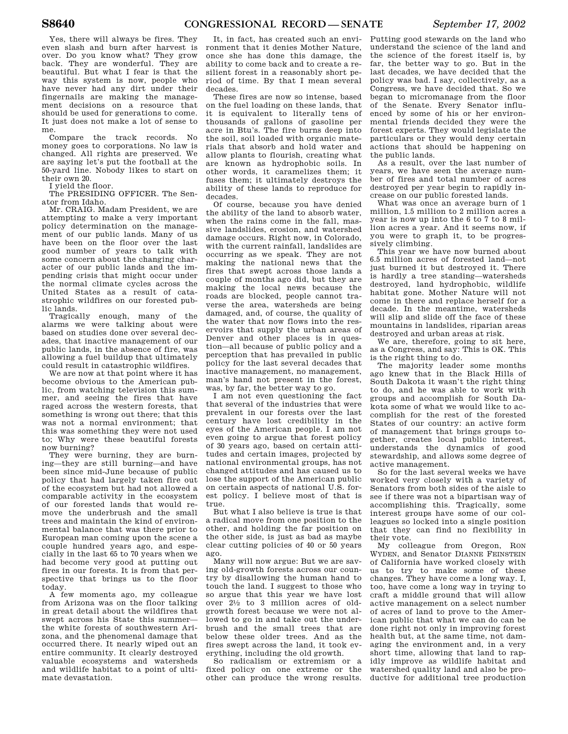Yes, there will always be fires. They even slash and burn after harvest is over. Do you know what? They grow back. They are wonderful. They are beautiful. But what I fear is that the way this system is now, people who have never had any dirt under their fingernails are making the management decisions on a resource that should be used for generations to come. It just does not make a lot of sense to me.

Compare the track records. No money goes to corporations. No law is changed. All rights are preserved. We are saying let's put the football at the 50-yard line. Nobody likes to start on their own 20.

I yield the floor.

The PRESIDING OFFICER. The Senator from Idaho.

Mr. CRAIG. Madam President, we are attempting to make a very important policy determination on the management of our public lands. Many of us have been on the floor over the last good number of years to talk with some concern about the changing character of our public lands and the impending crisis that might occur under the normal climate cycles across the United States as a result of catastrophic wildfires on our forested public lands.

Tragically enough, many of the alarms we were talking about were based on studies done over several decades, that inactive management of our public lands, in the absence of fire, was allowing a fuel buildup that ultimately could result in catastrophic wildfires.

We are now at that point where it has become obvious to the American public, from watching television this summer, and seeing the fires that have raged across the western forests, that something is wrong out there; that this was not a normal environment; that this was something they were not used to; Why were these beautiful forests now burning?

They were burning, they are burning—they are still burning—and have been since mid-June because of public policy that had largely taken fire out of the ecosystem but had not allowed a comparable activity in the ecosystem of our forested lands that would remove the underbrush and the small trees and maintain the kind of environmental balance that was there prior to European man coming upon the scene a couple hundred years ago, and especially in the last 65 to 70 years when we had become very good at putting out fires in our forests. It is from that perspective that brings us to the floor today.

A few moments ago, my colleague from Arizona was on the floor talking in great detail about the wildfires that swept across his State this summer the white forests of southwestern Arizona, and the phenomenal damage that occurred there. It nearly wiped out an entire community. It clearly destroyed valuable ecosystems and watersheds and wildlife habitat to a point of ultimate devastation.

It, in fact, has created such an environment that it denies Mother Nature, once she has done this damage, the ability to come back and to create a resilient forest in a reasonably short period of time. By that I mean several decades.

These fires are now so intense, based on the fuel loading on these lands, that it is equivalent to literally tens of thousands of gallons of gasoline per acre in Btu's. The fire burns deep into the soil, soil loaded with organic materials that absorb and hold water and allow plants to flourish, creating what are known as hydrophobic soils. In other words, it caramelizes them; it fuses them; it ultimately destroys the ability of these lands to reproduce for decades.

Of course, because you have denied the ability of the land to absorb water, when the rains come in the fall, massive landslides, erosion, and watershed damage occurs. Right now, in Colorado, with the current rainfall, landslides are occurring as we speak. They are not making the national news that the fires that swept across those lands a couple of months ago did, but they are making the local news because the roads are blocked, people cannot traverse the area, watersheds are being damaged, and, of course, the quality of the water that now flows into the reservoirs that supply the urban areas of Denver and other places is in question—all because of public policy and a perception that has prevailed in public policy for the last several decades that inactive management, no management, man's hand not present in the forest, was, by far, the better way to go.

I am not even questioning the fact that several of the industries that were prevalent in our forests over the last century have lost credibility in the eyes of the American people. I am not even going to argue that forest policy of 30 years ago, based on certain attitudes and certain images, projected by national environmental groups, has not changed attitudes and has caused us to lose the support of the American public on certain aspects of national U.S. forest policy. I believe most of that is true.

But what I also believe is true is that a radical move from one position to the other, and holding the far position on the other side, is just as bad as maybe clear cutting policies of 40 or 50 years ago.

Many will now argue: But we are saving old-growth forests across our country by disallowing the human hand to touch the land. I suggest to those who so argue that this year we have lost over  $2\frac{1}{2}$  to 3 million acres of oldgrowth forest because we were not allowed to go in and take out the underbrush and the small trees that are below these older trees. And as the fires swept across the land, it took everything, including the old growth.

So radicalism or extremism or a fixed policy on one extreme or the other can produce the wrong results. Putting good stewards on the land who understand the science of the land and the science of the forest itself is, by far, the better way to go. But in the last decades, we have decided that the policy was bad. I say, collectively, as a Congress, we have decided that. So we began to micromanage from the floor of the Senate. Every Senator influenced by some of his or her environmental friends decided they were the forest experts. They would legislate the particulars or they would deny certain actions that should be happening on the public lands.

As a result, over the last number of years, we have seen the average number of fires and total number of acres destroyed per year begin to rapidly increase on our public forested lands.

What was once an average burn of 1 million, 1.5 million to 2 million acres a year is now up into the 6 to 7 to 8 million acres a year. And it seems now, if you were to graph it, to be progressively climbing.

This year we have now burned about 6.5 million acres of forested land—not just burned it but destroyed it. There is hardly a tree standing—watersheds destroyed, land hydrophobic, wildlife habitat gone. Mother Nature will not come in there and replace herself for a decade. In the meantime, watersheds will slip and slide off the face of these mountains in landslides, riparian areas destroyed and urban areas at risk.

We are, therefore, going to sit here, as a Congress, and say: This is OK. This is the right thing to do.

The majority leader some months ago knew that in the Black Hills of South Dakota it wasn't the right thing to do, and he was able to work with groups and accomplish for South Dakota some of what we would like to accomplish for the rest of the forested States of our country: an active form of management that brings groups together, creates local public interest, understands the dynamics of good stewardship, and allows some degree of active management.

So for the last several weeks we have worked very closely with a variety of Senators from both sides of the aisle to see if there was not a bipartisan way of accomplishing this. Tragically, some interest groups have some of our colleagues so locked into a single position that they can find no flexibility in their vote.

My colleague from Oregon, RON WYDEN, and Senator DIANNE FEINSTEIN of California have worked closely with us to try to make some of these changes. They have come a long way. I, too, have come a long way in trying to craft a middle ground that will allow active management on a select number of acres of land to prove to the American public that what we can do can be done right not only in improving forest health but, at the same time, not damaging the environment and, in a very short time, allowing that land to rapidly improve as wildlife habitat and watershed quality land and also be productive for additional tree production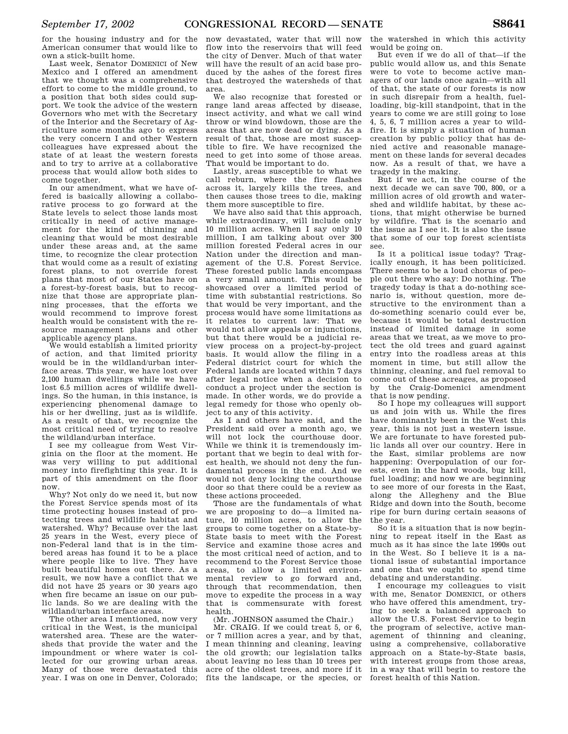for the housing industry and for the American consumer that would like to own a stick-built home.

Last week, Senator DOMENICI of New Mexico and I offered an amendment that we thought was a comprehensive effort to come to the middle ground, to a position that both sides could support. We took the advice of the western Governors who met with the Secretary of the Interior and the Secretary of Agriculture some months ago to express the very concern I and other Western colleagues have expressed about the state of at least the western forests and to try to arrive at a collaborative process that would allow both sides to come together.

In our amendment, what we have offered is basically allowing a collaborative process to go forward at the State levels to select those lands most critically in need of active management for the kind of thinning and cleaning that would be most desirable under these areas and, at the same time, to recognize the clear protection that would come as a result of existing forest plans, to not override forest plans that most of our States have on a forest-by-forest basis, but to recognize that those are appropriate planning processes, that the efforts we would recommend to improve forest health would be consistent with the resource management plans and other applicable agency plans.

We would establish a limited priority of action, and that limited priority would be in the wildland/urban interface areas. This year, we have lost over 2,100 human dwellings while we have lost 6.5 million acres of wildlife dwellings. So the human, in this instance, is experiencing phenomenal damage to his or her dwelling, just as is wildlife. As a result of that, we recognize the most critical need of trying to resolve the wildland/urban interface.

I see my colleague from West Virginia on the floor at the moment. He was very willing to put additional money into firefighting this year. It is part of this amendment on the floor now.

Why? Not only do we need it, but now the Forest Service spends most of its time protecting houses instead of protecting trees and wildlife habitat and watershed. Why? Because over the last 25 years in the West, every piece of non-Federal land that is in the timbered areas has found it to be a place where people like to live. They have built beautiful homes out there. As a result, we now have a conflict that we did not have 25 years or 30 years ago when fire became an issue on our public lands. So we are dealing with the wildland/urban interface areas.

The other area I mentioned, now very critical in the West, is the municipal watershed area. These are the watersheds that provide the water and the impoundment or where water is collected for our growing urban areas. Many of those were devastated this year. I was on one in Denver, Colorado;

now devastated, water that will now flow into the reservoirs that will feed the city of Denver. Much of that water will have the result of an acid base produced by the ashes of the forest fires that destroyed the watersheds of that area.

We also recognize that forested or range land areas affected by disease, insect activity, and what we call wind throw or wind blowdown, those are the areas that are now dead or dying. As a result of that, those are most susceptible to fire. We have recognized the need to get into some of those areas. That would be important to do.

Lastly, areas susceptible to what we call reburn, where the fire flashes across it, largely kills the trees, and then causes those trees to die, making them more susceptible to fire.

We have also said that this approach, while extraordinary, will include only 10 million acres. When I say only 10 million, I am talking about over 300 million forested Federal acres in our Nation under the direction and management of the U.S. Forest Service. These forested public lands encompass a very small amount. This would be showcased over a limited period of time with substantial restrictions. So that would be very important, and the process would have some limitations as it relates to current law: That we would not allow appeals or injunctions, but that there would be a judicial review process on a project-by-project basis. It would allow the filing in a Federal district court for which the Federal lands are located within 7 days after legal notice when a decision to conduct a project under the section is made. In other words, we do provide a legal remedy for those who openly object to any of this activity.

As I and others have said, and the President said over a month ago, we will not lock the courthouse door. While we think it is tremendously important that we begin to deal with forest health, we should not deny the fundamental process in the end. And we would not deny locking the courthouse door so that there could be a review as these actions proceeded.

Those are the fundamentals of what we are proposing to do—a limited nature, 10 million acres, to allow the groups to come together on a State-by-State basis to meet with the Forest Service and examine those acres and the most critical need of action, and to recommend to the Forest Service those areas, to allow a limited environmental review to go forward and, through that recommendation, then move to expedite the process in a way that is commensurate with forest health.

(Mr. JOHNSON assumed the Chair.)

Mr. CRAIG. If we could treat 5, or 6, or 7 million acres a year, and by that, I mean thinning and cleaning, leaving the old growth; our legislation talks about leaving no less than 10 trees per acre of the oldest trees, and more if it fits the landscape, or the species, or

the watershed in which this activity would be going on.

But even if we do all of that—if the public would allow us, and this Senate were to vote to become active managers of our lands once again—with all of that, the state of our forests is now in such disrepair from a health, fuelloading, big-kill standpoint, that in the years to come we are still going to lose 4, 5, 6, 7 million acres a year to wildfire. It is simply a situation of human creation by public policy that has denied active and reasonable management on these lands for several decades now. As a result of that, we have a tragedy in the making.

But if we act, in the course of the next decade we can save 700, 800, or a million acres of old growth and watershed and wildlife habitat, by these actions, that might otherwise be burned by wildfire. That is the scenario and the issue as I see it. It is also the issue that some of our top forest scientists see.

Is it a political issue today? Tragically enough, it has been politicized. There seems to be a loud chorus of people out there who say: Do nothing. The tragedy today is that a do-nothing scenario is, without question, more destructive to the environment than a do-something scenario could ever be, because it would be total destruction instead of limited damage in some areas that we treat, as we move to protect the old trees and guard against entry into the roadless areas at this moment in time, but still allow the thinning, cleaning, and fuel removal to come out of these acreages, as proposed by the Craig-Domenici amendment that is now pending.

So I hope my colleagues will support us and join with us. While the fires have dominantly been in the West this year, this is not just a western issue. We are fortunate to have forested public lands all over our country. Here in the East, similar problems are now happening: Overpopulation of our forests, even in the hard woods, bug kill, fuel loading; and now we are beginning to see more of our forests in the East, along the Allegheny and the Blue Ridge and down into the South, become ripe for burn during certain seasons of the year.

So it is a situation that is now beginning to repeat itself in the East as much as it has since the late 1990s out in the West. So I believe it is a national issue of substantial importance and one that we ought to spend time debating and understanding.

I encourage my colleagues to visit with me, Senator DOMENICI, or others who have offered this amendment, trying to seek a balanced approach to allow the U.S. Forest Service to begin the program of selective, active management of thinning and cleaning, using a comprehensive, collaborative approach on a State-by-State basis, with interest groups from those areas, in a way that will begin to restore the forest health of this Nation.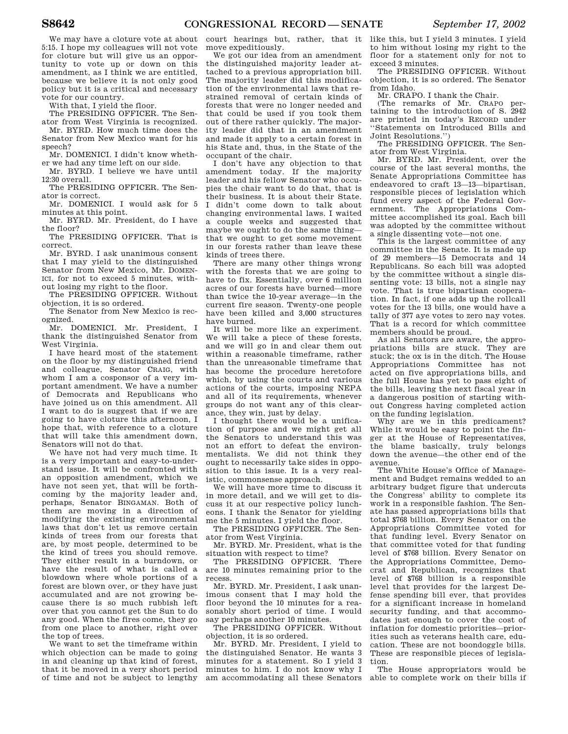We may have a cloture vote at about 5:15. I hope my colleagues will not vote for cloture but will give us an opportunity to vote up or down on this amendment, as I think we are entitled, because we believe it is not only good policy but it is a critical and necessary vote for our country.

With that, I yield the floor.

The PRESIDING OFFICER. The Senator from West Virginia is recognized.

Mr. BYRD. How much time does the Senator from New Mexico want for his speech?

Mr. DOMENICI. I didn't know whether we had any time left on our side.

Mr. BYRD. I believe we have until 12:30 overall.

The PRESIDING OFFICER. The Senator is correct.

Mr. DOMENICI. I would ask for 5 minutes at this point.

Mr. BYRD. Mr. President, do I have the floor?

The PRESIDING OFFICER. That is correct.

Mr. BYRD. I ask unanimous consent that I may yield to the distinguished Senator from New Mexico, Mr. DOMEN-ICI, for not to exceed 5 minutes, without losing my right to the floor.

The PRESIDING OFFICER. Without objection, it is so ordered.

The Senator from New Mexico is recognized.

Mr. DOMENICI. Mr. President, I thank the distinguished Senator from West Virginia.

I have heard most of the statement on the floor by my distinguished friend and colleague, Senator CRAIG, with whom I am a cosponsor of a very important amendment. We have a number of Democrats and Republicans who have joined us on this amendment. All I want to do is suggest that if we are going to have cloture this afternoon, I hope that, with reference to a cloture that will take this amendment down, Senators will not do that.

We have not had very much time. It is a very important and easy-to-understand issue. It will be confronted with an opposition amendment, which we have not seen yet, that will be forthcoming by the majority leader and, perhaps, Senator BINGAMAN. Both of them are moving in a direction of modifying the existing environmental laws that don't let us remove certain kinds of trees from our forests that are, by most people, determined to be the kind of trees you should remove. They either result in a burndown, or have the result of what is called a blowdown where whole portions of a forest are blown over, or they have just accumulated and are not growing because there is so much rubbish left over that you cannot get the Sun to do any good. When the fires come, they go from one place to another, right over the top of trees.

We want to set the timeframe within which objection can be made to going in and cleaning up that kind of forest, that it be moved in a very short period of time and not be subject to lengthy

court hearings but, rather, that it move expeditiously.

We got our idea from an amendment the distinguished majority leader attached to a previous appropriation bill. The majority leader did this modification of the environmental laws that restrained removal of certain kinds of forests that were no longer needed and that could be used if you took them out of there rather quickly. The majority leader did that in an amendment and made it apply to a certain forest in his State and, thus, in the State of the occupant of the chair.

I don't have any objection to that amendment today. If the majority leader and his fellow Senator who occupies the chair want to do that, that is their business. It is about their State. I didn't come down to talk about changing environmental laws. I waited a couple weeks and suggested that maybe we ought to do the same thing that we ought to get some movement in our forests rather than leave these kinds of trees there.

There are many other things wrong with the forests that we are going to have to fix. Essentially, over 6 million acres of our forests have burned—more than twice the 10-year average—in the current fire season. Twenty-one people have been killed and 3,000 structures have burned.

It will be more like an experiment. We will take a piece of these forests, and we will go in and clear them out within a reasonable timeframe, rather than the unreasonable timeframe that has become the procedure heretofore which, by using the courts and various actions of the courts, imposing NEPA and all of its requirements, whenever groups do not want any of this clearance, they win, just by delay.

I thought there would be a unification of purpose and we might get all the Senators to understand this was not an effort to defeat the environmentalists. We did not think they ought to necessarily take sides in opposition to this issue. It is a very realistic, commonsense approach.

We will have more time to discuss it in more detail, and we will get to discuss it at our respective policy luncheons. I thank the Senator for yielding me the 5 minutes. I yield the floor.

The PRESIDING OFFICER. The Senator from West Virginia.

Mr. BYRD. Mr. President, what is the situation with respect to time?

The PRESIDING OFFICER. There are 10 minutes remaining prior to the recess.

Mr. BYRD. Mr. President, I ask unanimous consent that I may hold the floor beyond the 10 minutes for a reasonably short period of time. I would say perhaps another 10 minutes.

The PRESIDING OFFICER. Without objection, it is so ordered.

Mr. BYRD. Mr. President, I yield to the distinguished Senator. He wants 3 minutes for a statement. So I yield 3 minutes to him. I do not know why I am accommodating all these Senators

like this, but I yield 3 minutes. I yield to him without losing my right to the floor for a statement only for not to exceed 3 minutes.

The PRESIDING OFFICER. Without objection, it is so ordered. The Senator from Idaho.

Mr. CRAPO. I thank the Chair.

(The remarks of Mr. CRAPO pertaining to the introduction of S. 2942 are printed in today's RECORD under ''Statements on Introduced Bills and Joint Resolutions.'')

The PRESIDING OFFICER. The Senator from West Virginia.

Mr. BYRD. Mr. President, over the course of the last several months, the Senate Appropriations Committee has endeavored to craft 13—13—bipartisan, responsible pieces of legislation which fund every aspect of the Federal Government. The Appropriations Committee accomplished its goal. Each bill was adopted by the committee without a single dissenting vote—not one.

This is the largest committee of any committee in the Senate. It is made up of 29 members—15 Democrats and 14 Republicans. So each bill was adopted by the committee without a single dissenting vote: 13 bills, not a single nay vote. That is true bipartisan cooperation. In fact, if one adds up the rollcall votes for the 13 bills, one would have a tally of 377 aye votes to zero nay votes. That is a record for which committee members should be proud.

As all Senators are aware, the appropriations bills are stuck. They are stuck; the ox is in the ditch. The House Appropriations Committee has not acted on five appropriations bills, and the full House has yet to pass eight of the bills, leaving the next fiscal year in a dangerous position of starting without Congress having completed action on the funding legislation.

Why are we in this predicament? While it would be easy to point the finger at the House of Representatives, the blame basically, truly belongs down the avenue—the other end of the avenue.

The White House's Office of Management and Budget remains wedded to an arbitrary budget figure that undercuts the Congress' ability to complete its work in a responsible fashion. The Senate has passed appropriations bills that total \$768 billion. Every Senator on the Appropriations Committee voted for that funding level. Every Senator on that committee voted for that funding level of \$768 billion. Every Senator on the Appropriations Committee, Democrat and Republican, recognizes that level of \$768 billion is a responsible level that provides for the largest Defense spending bill ever, that provides for a significant increase in homeland security funding, and that accommodates just enough to cover the cost of inflation for domestic priorities—priorities such as veterans health care, education. These are not boondoggle bills. These are responsible pieces of legislation.

The House appropriators would be able to complete work on their bills if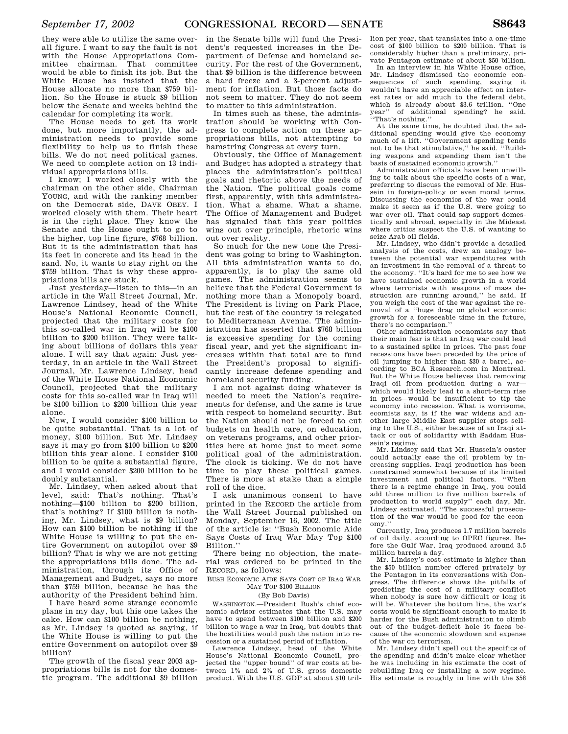they were able to utilize the same overall figure. I want to say the fault is not with the House Appropriations Committee chairman. That committee would be able to finish its job. But the White House has insisted that the House allocate no more than \$759 billion. So the House is stuck \$9 billion below the Senate and weeks behind the calendar for completing its work.

The House needs to get its work done, but more importantly, the administration needs to provide some flexibility to help us to finish these bills. We do not need political games. We need to complete action on 13 individual appropriations bills.

I know; I worked closely with the chairman on the other side, Chairman YOUNG, and with the ranking member on the Democrat side, DAVE OBEY. I worked closely with them. Their heart is in the right place. They know the Senate and the House ought to go to the higher, top line figure, \$768 billion. But it is the administration that has its feet in concrete and its head in the sand. No, it wants to stay right on the \$759 billion. That is why these appropriations bills are stuck.

Just yesterday—listen to this—in an article in the Wall Street Journal, Mr. Lawrence Lindsey, head of the White House's National Economic Council, projected that the military costs for this so-called war in Iraq will be \$100 billion to \$200 billion. They were talking about billions of dollars this year alone. I will say that again: Just yesterday, in an article in the Wall Street Journal, Mr. Lawrence Lindsey, head of the White House National Economic Council, projected that the military costs for this so-called war in Iraq will be \$100 billion to \$200 billion this year alone.

Now, I would consider \$100 billion to be quite substantial. That is a lot of money, \$100 billion. But Mr. Lindsey says it may go from \$100 billion to \$200 billion this year alone. I consider \$100 billion to be quite a substantial figure, and I would consider \$200 billion to be doubly substantial.

Mr. Lindsey, when asked about that level, said: That's nothing. That's nothing—\$100 billion to \$200 billion, that's nothing? If \$100 billion is nothing, Mr. Lindsey, what is \$9 billion? How can \$100 billion be nothing if the White House is willing to put the entire Government on autopilot over \$9 billion? That is why we are not getting the appropriations bills done. The administration, through its Office of Management and Budget, says no more than \$759 billion, because he has the authority of the President behind him.

I have heard some strange economic plans in my day, but this one takes the cake. How can \$100 billion be nothing, as Mr. Lindsey is quoted as saying, if the White House is willing to put the entire Government on autopilot over \$9 billion?

The growth of the fiscal year 2003 appropriations bills is not for the domestic program. The additional \$9 billion

in the Senate bills will fund the President's requested increases in the Department of Defense and homeland security. For the rest of the Government, that \$9 billion is the difference between a hard freeze and a 3-percent adjustment for inflation. But those facts do not seem to matter. They do not seem to matter to this administration.

In times such as these, the administration should be working with Congress to complete action on these appropriations bills, not attempting to hamstring Congress at every turn.

Obviously, the Office of Management and Budget has adopted a strategy that places the administration's political goals and rhetoric above the needs of the Nation. The political goals come first, apparently, with this administration. What a shame. What a shame. The Office of Management and Budget has signaled that this year politics wins out over principle, rhetoric wins out over reality.

So much for the new tone the President was going to bring to Washington. All this administration wants to do, apparently, is to play the same old games. The administration seems to believe that the Federal Government is nothing more than a Monopoly board. The President is living on Park Place, but the rest of the country is relegated to Mediterranean Avenue. The administration has asserted that \$768 billion is excessive spending for the coming fiscal year, and yet the significant increases within that total are to fund the President's proposal to significantly increase defense spending and homeland security funding.

I am not against doing whatever is needed to meet the Nation's requirements for defense, and the same is true with respect to homeland security. But the Nation should not be forced to cut budgets on health care, on education, on veterans programs, and other priorities here at home just to meet some political goal of the administration. The clock is ticking. We do not have time to play these political games. There is more at stake than a simple roll of the dice.

I ask unanimous consent to have printed in the RECORD the article from the Wall Street Journal published on Monday, September 16, 2002. The title of the article is: ''Bush Economic Aide Says Costs of Iraq War May Top \$100 Billion.''

There being no objection, the material was ordered to be printed in the RECORD, as follows:

BUSH ECONOMIC AIDE SAYS COST OF IRAQ WAR MAY TOP \$100 BILLION

## (By Bob Davis)

WASHINGTON.—President Bush's chief economic advisor estimates that the U.S. may have to spend between \$100 billion and \$200 billion to wage a war in Iraq, but doubts that the hostilities would push the nation into recession or a sustained period of inflation.

Lawrence Lindsey, head of the White House's National Economic Council, projected the ''upper bound'' of war costs at between 1% and 2% of U.S. gross domestic product. With the U.S. GDP at about \$10 trillion per year, that translates into a one-time cost of \$100 billion to \$200 billion. That is considerably higher than a preliminary, pri-

vate Pentagon estimate of about \$50 billion. In an interview in his White House office, Mr. Lindsey dismissed the economic consequences of such spending, saying it wouldn't have an appreciable effect on interest rates or add much to the federal debt, which is already about \$3.6 trillion. ''One year'' of additional spending? he said. ''That's nothing.''

At the same time, he doubted that the additional spending would give the economy much of a lift. ''Government spending tends not to be that stimulative,'' he said. ''Building weapons and expending them isn't the basis of sustained economic growth.''

Administration officials have been unwilling to talk about the specific costs of a war, preferring to discuss the removal of Mr. Hussein in foreign-policy or even moral terms. Discussing the economics of the war could make it seem as if the U.S. were going to war over oil. That could sap support domestically and abroad, especially in the Mideast where critics suspect the U.S. of wanting to seize Arab oil fields.

Mr. Lindsey, who didn't provide a detailed analysis of the costs, drew an analogy between the potential war expenditures with an investment in the removal of a threat to the economy. ''It's hard for me to see how we have sustained economic growth in a world where terrorists with weapons of mass destruction are running around,'' he said. If you weigh the cost of the war against the removal of a ''huge drag on global economic growth for a foreseeable time in the future, there's no comparison.''

Other administration economists say that their main fear is that an Iraq war could lead to a sustained spike in prices. The past four recessions have been preceded by the price of oil jumping to higher than \$30 a barrel, according to BCA Research.com in Montreal. But the White House believes that removing Iraqi oil from production during a war which would likely lead to a short-term rise in prices—would be insufficient to tip the economy into recession. What is worrisome, ecomists say, is if the war widens and another large Middle East supplier stops selling to the U.S., either because of an Iraqi attack or out of solidarity with Saddam Hussein's regime.

Mr. Lindsey said that Mr. Hussein's ouster could actually ease the oil problem by increasing supplies. Iraqi production has been constrained somewhat because of its limited investment and political factors. ''When there is a regime change in Iraq, you could add three million to five million barrels of production to world supply'' each day, Mr. Lindsey estimated. ''The successful prosecution of the war would be good for the economy.''

Currently, Iraq produces 1.7 million barrels of oil daily, according to OPEC figures. Before the Gulf War, Iraq produced around 3.5 million barrels a day.

Mr. Lindsey's cost estimate is higher than the \$50 billion number offered privately by the Pentagon in its conversations with Congress. The difference shows the pitfalls of predicting the cost of a military conflict when nobody is sure how difficult or long it will be. Whatever the bottom line, the war's costs would be significant enough to make it harder for the Bush administration to climb out of the budget-deficit hole it faces because of the economic slowdown and expense of the war on terrorism.

Mr. Lindsey didn't spell out the specifics of the spending and didn't make clear whether he was including in his estimate the cost of rebuilding Iraq or installing a new regime. His estimate is roughly in line with the \$58